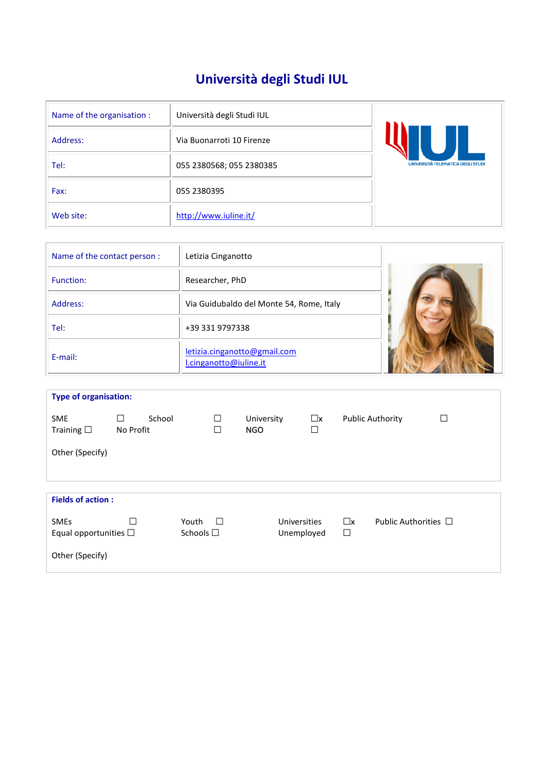# **Università degli Studi IUL**

| Name of the organisation : | Università degli Studi IUL |                                   |
|----------------------------|----------------------------|-----------------------------------|
| Address:                   | Via Buonarroti 10 Firenze  |                                   |
| Tel:                       | 055 2380568; 055 2380385   | UNIVERSITÀ TELEMATICA DEGLI STUDI |
| Fax:                       | 055 2380395                |                                   |
| Web site:                  | http://www.iuline.it/      |                                   |

| Name of the contact person : | Letizia Cinganotto                                     |  |
|------------------------------|--------------------------------------------------------|--|
| Function:                    | Researcher, PhD                                        |  |
| Address:                     | Via Guidubaldo del Monte 54, Rome, Italy               |  |
| Tel:                         | +39 331 9797338                                        |  |
| E-mail:                      | letizia.cinganotto@gmail.com<br>l.cinganotto@iuline.it |  |

| <b>Type of organisation:</b>              |                |        |                            |        |                          |                            |                       |                       |                         |                           |
|-------------------------------------------|----------------|--------|----------------------------|--------|--------------------------|----------------------------|-----------------------|-----------------------|-------------------------|---------------------------|
| <b>SME</b><br>Training $\square$          | П<br>No Profit | School |                            | □<br>□ | University<br><b>NGO</b> |                            | $\square$ x<br>$\Box$ |                       | <b>Public Authority</b> | □                         |
| Other (Specify)                           |                |        |                            |        |                          |                            |                       |                       |                         |                           |
| <b>Fields of action:</b>                  |                |        |                            |        |                          |                            |                       |                       |                         |                           |
|                                           |                |        |                            |        |                          |                            |                       |                       |                         |                           |
| <b>SMEs</b><br>Equal opportunities $\Box$ |                |        | Youth<br>Schools $\square$ | $\Box$ |                          | Universities<br>Unemployed |                       | $\square$ x<br>$\Box$ |                         | Public Authorities $\Box$ |
| Other (Specify)                           |                |        |                            |        |                          |                            |                       |                       |                         |                           |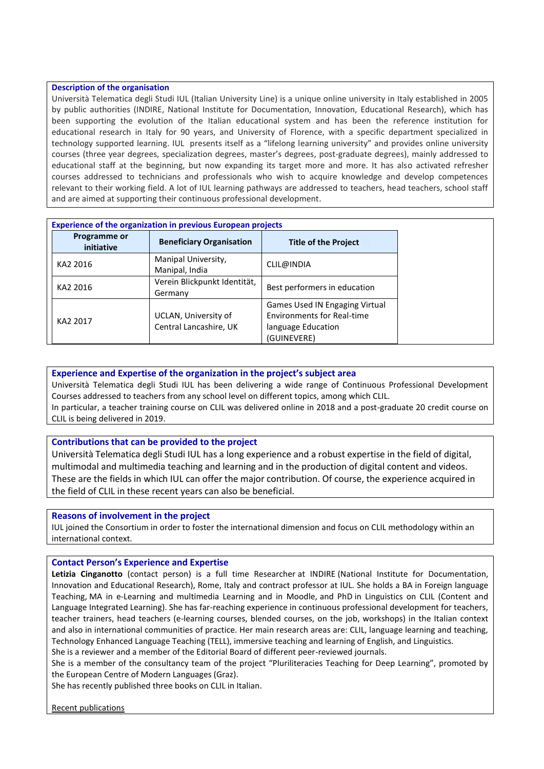#### **Description of the organisation**

Università Telematica degli Studi IUL (Italian University Line) is a unique online university in Italy established in 2005 by public authorities (INDIRE, National Institute for Documentation, Innovation, Educational Research), which has been supporting the evolution of the Italian educational system and has been the reference institution for educational research in Italy for 90 years, and University of Florence, with a specific department specialized in technology supported learning. IUL presents itself as a "lifelong learning university" and provides online university courses (three year degrees, specialization degrees, master's degrees, post-graduate degrees), mainly addressed to educational staff at the beginning, but now expanding its target more and more. It has also activated refresher courses addressed to technicians and professionals who wish to acquire knowledge and develop competences relevant to their working field. A lot of IUL learning pathways are addressed to teachers, head teachers, school staff and are aimed at supporting their continuous professional development.

| <b>Experience of the organization in previous European projects</b> |                                         |                                   |  |  |
|---------------------------------------------------------------------|-----------------------------------------|-----------------------------------|--|--|
| Programme or<br>initiative                                          | <b>Beneficiary Organisation</b>         | <b>Title of the Project</b>       |  |  |
| KA2 2016                                                            | Manipal University,<br>Manipal, India   | CLIL@INDIA                        |  |  |
| KA2 2016                                                            | Verein Blickpunkt Identität,<br>Germany | Best performers in education      |  |  |
|                                                                     |                                         | Games Used IN Engaging Virtual    |  |  |
| KA2 2017                                                            | UCLAN, University of                    | <b>Environments for Real-time</b> |  |  |
|                                                                     | Central Lancashire, UK                  | language Education                |  |  |
|                                                                     |                                         | (GUINEVERE)                       |  |  |

## **Experience and Expertise of the organization in the project's subject area**

Università Telematica degli Studi IUL has been delivering a wide range of Continuous Professional Development Courses addressed to teachers from any school level on different topics, among which CLIL. In particular, a teacher training course on CLIL was delivered online in 2018 and a post-graduate 20 credit course on CLIL is being delivered in 2019.

### **Contributions that can be provided to the project**

Università Telematica degli Studi IUL has a long experience and a robust expertise in the field of digital, multimodal and multimedia teaching and learning and in the production of digital content and videos. These are the fields in which IUL can offer the major contribution. Of course, the experience acquired in the field of CLIL in these recent years can also be beneficial.

### **Reasons of involvement in the project**

IUL joined the Consortium in order to foster the international dimension and focus on CLIL methodology within an international context.

### **Contact Person's Experience and Expertise**

**Letizia Cinganotto** (contact person) is a full time Researcher at INDIRE (National Institute for Documentation, Innovation and Educational Research), Rome, Italy and contract professor at IUL. She holds a BA in Foreign language Teaching, MA in e-Learning and multimedia Learning and in Moodle, and PhD in Linguistics on CLIL (Content and Language Integrated Learning). She has far-reaching experience in continuous professional development for teachers, teacher trainers, head teachers (e-learning courses, blended courses, on the job, workshops) in the Italian context and also in international communities of practice. Her main research areas are: CLIL, language learning and teaching, Technology Enhanced Language Teaching (TELL), immersive teaching and learning of English, and Linguistics. She is a reviewer and a member of the Editorial Board of different peer-reviewed journals.

She is a member of the consultancy team of the project "Pluriliteracies Teaching for Deep Learning", promoted by the European Centre of Modern Languages (Graz).

She has recently published three books on CLIL in Italian.

Recent publications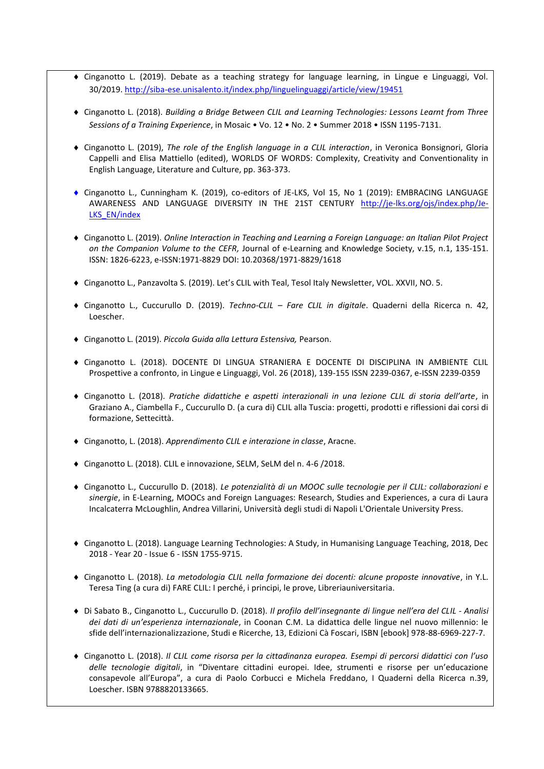- Cinganotto L. (2019). Debate as a teaching strategy for language learning, in Lingue e Linguaggi, Vol. 30/2019[. http://siba-ese.unisalento.it/index.php/linguelinguaggi/article/view/19451](http://siba-ese.unisalento.it/index.php/linguelinguaggi/article/view/19451)
- Cinganotto L. (2018). *Building a Bridge Between CLIL and Learning Technologies: Lessons Learnt from Three Sessions of a Training Experience*, in Mosaic • Vo. 12 • No. 2 • Summer 2018 • ISSN 1195-7131.
- Cinganotto L. (2019), *The role of the English language in a CLIL interaction*, in Veronica Bonsignori, Gloria Cappelli and Elisa Mattiello (edited), WORLDS OF WORDS: Complexity, Creativity and Conventionality in English Language, Literature and Culture, pp. 363-373.
- Cinganotto L., Cunningham K. (2019), co-editors of JE-LKS, Vol 15, No 1 (2019): EMBRACING LANGUAGE AWARENESS AND LANGUAGE DIVERSITY IN THE 21ST CENTURY [http://je-lks.org/ojs/index.php/Je-](http://je-lks.org/ojs/index.php/Je-LKS_EN/index)LKS EN/index
- Cinganotto L. (2019). *Online Interaction in Teaching and Learning a Foreign Language: an Italian Pilot Project on the Companion Volume to the CEFR,* Journal of e-Learning and Knowledge Society, v.15, n.1, 135-151. ISSN: 1826-6223, e-ISSN:1971-8829 DOI: 10.20368/1971-8829/1618
- Cinganotto L., Panzavolta S. (2019). Let's CLIL with Teal, Tesol Italy Newsletter, VOL. XXVII, NO. 5.
- Cinganotto L., Cuccurullo D. (2019). *Techno-CLIL – Fare CLIL in digitale*. Quaderni della Ricerca n. 42, Loescher.
- Cinganotto L. (2019). *Piccola Guida alla Lettura Estensiva,* Pearson.
- Cinganotto L. (2018). DOCENTE DI LINGUA STRANIERA E DOCENTE DI DISCIPLINA IN AMBIENTE CLIL Prospettive a confronto, in Lingue e Linguaggi, Vol. 26 (2018), 139-155 ISSN 2239-0367, e-ISSN 2239-0359
- Cinganotto L. (2018). *Pratiche didattiche e aspetti interazionali in una lezione CLIL di storia dell'arte*, in Graziano A., Ciambella F., Cuccurullo D. (a cura di) CLIL alla Tuscia: progetti, prodotti e riflessioni dai corsi di formazione, Settecittà.
- Cinganotto, L. (2018). *Apprendimento CLIL e interazione in classe*, Aracne.
- Cinganotto L. (2018). CLIL e innovazione, SELM, SeLM del n. 4-6 /2018.
- Cinganotto L., Cuccurullo D. (2018). *Le potenzialità di un MOOC sulle tecnologie per il CLIL: collaborazioni e sinergie*, in E-Learning, MOOCs and Foreign Languages: Research, Studies and Experiences, a cura di Laura Incalcaterra McLoughlin, Andrea Villarini, Università degli studi di Napoli L'Orientale University Press.
- Cinganotto L. (2018). Language Learning Technologies: A Study, in Humanising Language Teaching, 2018, Dec 2018 - Year 20 - Issue 6 - ISSN 1755-9715.
- Cinganotto L. (2018). *La metodologia CLIL nella formazione dei docenti: alcune proposte innovative*, in Y.L. Teresa Ting (a cura di) FARE CLIL: I perché, i principi, le prove, Libreriauniversitaria.
- Di Sabato B., Cinganotto L., Cuccurullo D. (2018). *Il profilo dell'insegnante di lingue nell'era del CLIL - Analisi dei dati di un'esperienza internazionale*, in Coonan C.M. La didattica delle lingue nel nuovo millennio: le sfide dell'internazionalizzazione, Studi e Ricerche, 13, Edizioni Cà Foscari, ISBN [ebook] 978-88-6969-227-7.
- Cinganotto L. (2018). *Il CLIL come risorsa per la cittadinanza europea. Esempi di percorsi didattici con l'uso delle tecnologie digitali*, in "Diventare cittadini europei. Idee, strumenti e risorse per un'educazione consapevole all'Europa", a cura di Paolo Corbucci e Michela Freddano, I Quaderni della Ricerca n.39, Loescher. ISBN 9788820133665.